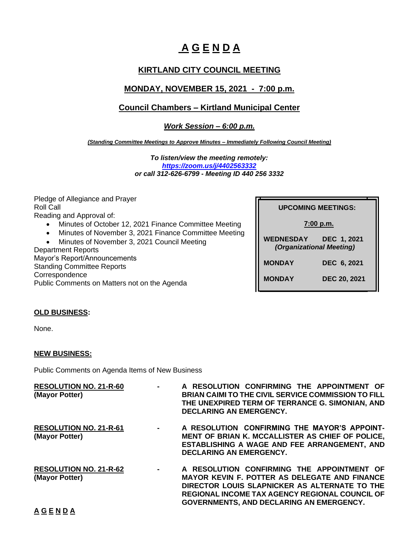# **A G E N D A**

# **KIRTLAND CITY COUNCIL MEETING**

# **MONDAY, NOVEMBER 15, 2021 - 7:00 p.m.**

## **Council Chambers – Kirtland Municipal Center**

*Work Session – 6:00 p.m.*

*(Standing Committee Meetings to Approve Minutes – Immediately Following Council Meeting)*

*To listen/view the meeting remotely: <https://zoom.us/j/4402563332> or call 312-626-6799 - Meeting ID 440 256 3332*

Pledge of Allegiance and Prayer Roll Call Reading and Approval of:

- Minutes of October 12, 2021 Finance Committee Meeting
- Minutes of November 3, 2021 Finance Committee Meeting
- Minutes of November 3, 2021 Council Meeting

Department Reports Mayor's Report/Announcements Standing Committee Reports **Correspondence** Public Comments on Matters not on the Agenda **UPCOMING MEETINGS: UPCOMING MEETINGS:**

 **7:00 p.m.**

**WEDNESDAY DEC 1, 2021** *(Organizational Meeting)*

 **MONDAY DEC 6, 2021**

**MONDAY DEC 20, 2021**

## **OLD BUSINESS:**

None.

## **NEW BUSINESS:**

Public Comments on Agenda Items of New Business

| <b>RESOLUTION NO. 21-R-60</b><br>(Mayor Potter) | $\blacksquare$ | A RESOLUTION CONFIRMING THE APPOINTMENT OF<br><b>BRIAN CAIMI TO THE CIVIL SERVICE COMMISSION TO FILL</b><br>THE UNEXPIRED TERM OF TERRANCE G. SIMONIAN, AND<br>DECLARING AN EMERGENCY.                                                                   |
|-------------------------------------------------|----------------|----------------------------------------------------------------------------------------------------------------------------------------------------------------------------------------------------------------------------------------------------------|
| <b>RESOLUTION NO. 21-R-61</b><br>(Mayor Potter) | $\blacksquare$ | A RESOLUTION CONFIRMING THE MAYOR'S APPOINT-<br>MENT OF BRIAN K. MCCALLISTER AS CHIEF OF POLICE,<br>ESTABLISHING A WAGE AND FEE ARRANGEMENT, AND<br><b>DECLARING AN EMERGENCY.</b>                                                                       |
| <b>RESOLUTION NO. 21-R-62</b><br>(Mayor Potter) | $\blacksquare$ | A RESOLUTION CONFIRMING THE APPOINTMENT OF<br><b>MAYOR KEVIN F. POTTER AS DELEGATE AND FINANCE</b><br>DIRECTOR LOUIS SLAPNICKER AS ALTERNATE TO THE<br><b>REGIONAL INCOME TAX AGENCY REGIONAL COUNCIL OF</b><br>GOVERNMENTS, AND DECLARING AN EMERGENCY. |

## **A G E N D A**